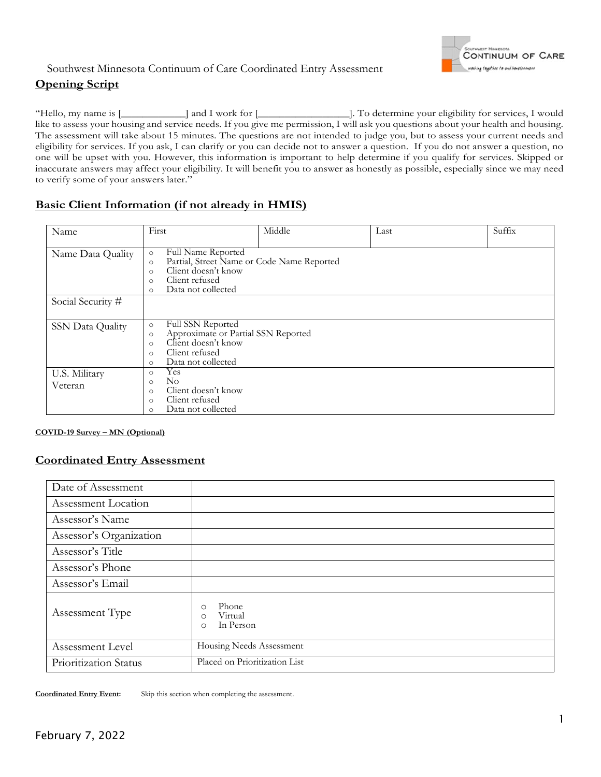

## Southwest Minnesota Continuum of Care Coordinated Entry Assessment **Opening Script**

"Hello, my name is [\_\_\_\_\_\_\_\_\_\_\_\_] and I work for [\_\_\_\_\_\_\_\_\_\_\_\_\_\_\_\_\_]. To determine your eligibility for services, I would like to assess your housing and service needs. If you give me permission, I will ask you questions about your health and housing. The assessment will take about 15 minutes. The questions are not intended to judge you, but to assess your current needs and eligibility for services. If you ask, I can clarify or you can decide not to answer a question. If you do not answer a question, no one will be upset with you. However, this information is important to help determine if you qualify for services. Skipped or inaccurate answers may affect your eligibility. It will benefit you to answer as honestly as possible, especially since we may need to verify some of your answers later."

## **Basic Client Information (if not already in HMIS)**

| Name              | First                                                                                                                                                                                         | Middle | Last | Suffix |  |  |  |
|-------------------|-----------------------------------------------------------------------------------------------------------------------------------------------------------------------------------------------|--------|------|--------|--|--|--|
| Name Data Quality | <b>Full Name Reported</b><br>$\circ$<br>Partial, Street Name or Code Name Reported<br>$\circ$<br>Client doesn't know<br>$\circ$<br>Client refused<br>$\circ$<br>Data not collected<br>$\circ$ |        |      |        |  |  |  |
| Social Security # |                                                                                                                                                                                               |        |      |        |  |  |  |
|                   |                                                                                                                                                                                               |        |      |        |  |  |  |
| SSN Data Quality  | Full SSN Reported<br>$\circ$<br>Approximate or Partial SSN Reported<br>$\circ$<br>Client doesn't know<br>$\circ$<br>Client refused<br>$\circ$<br>Data not collected<br>$\circ$                |        |      |        |  |  |  |
| U.S. Military     | Yes<br>$\circ$                                                                                                                                                                                |        |      |        |  |  |  |
| Veteran           | $\rm No$<br>$\circ$<br>Client doesn't know<br>$\Omega$<br>Client refused<br>$\circ$<br>Data not collected<br>$\circ$                                                                          |        |      |        |  |  |  |

#### **COVID-19 Survey – MN (Optional)**

### **Coordinated Entry Assessment**

| Date of Assessment      |                                                                 |
|-------------------------|-----------------------------------------------------------------|
| Assessment Location     |                                                                 |
| Assessor's Name         |                                                                 |
| Assessor's Organization |                                                                 |
| Assessor's Title        |                                                                 |
| Assessor's Phone        |                                                                 |
| Assessor's Email        |                                                                 |
| Assessment Type         | Phone<br>$\circ$<br>Virtual<br>$\circ$<br>In Person<br>$\Omega$ |
| Assessment Level        | Housing Needs Assessment                                        |
| Prioritization Status   | Placed on Prioritization List                                   |

**Coordinated Entry Event:** Skip this section when completing the assessment.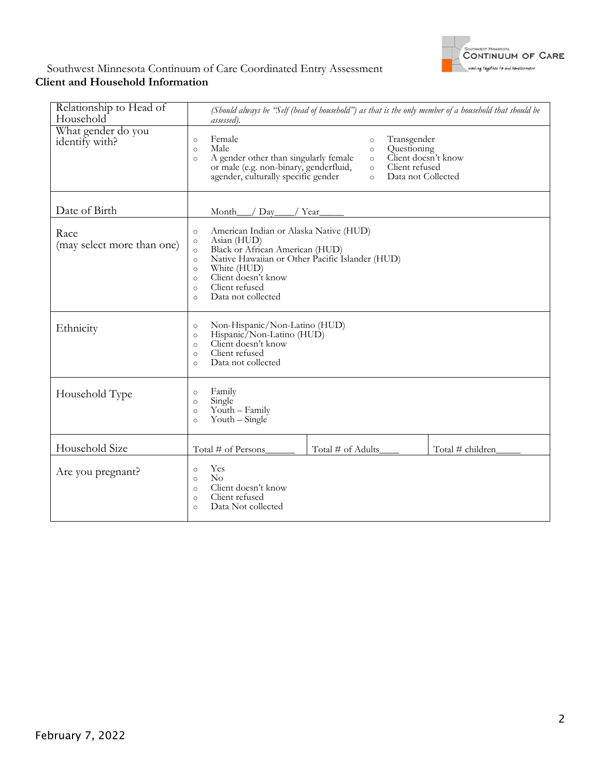

### Southwest Minnesota Continuum of Care Coordinated Entry Assessment **Client and Household Information**

| Relationship to Head of<br>Household | (Should always be "Self (head of household") as that is the only member of a household that should be<br>assessed).                                                                                                                                                                                                           |  |  |  |  |
|--------------------------------------|-------------------------------------------------------------------------------------------------------------------------------------------------------------------------------------------------------------------------------------------------------------------------------------------------------------------------------|--|--|--|--|
| What gender do you<br>identify with? | Female<br>Transgender<br>$\circ$<br>$\circ$<br>Male<br>Questioning<br>$\circ$<br>$\circ$<br>Client doesn't know<br>A gender other than singularly female<br>$\circ$<br>$\circ$<br>Client refused<br>or male (e.g. non-binary, genderfluid,<br>$\circ$<br>agender, culturally specific gender<br>Data not Collected<br>$\circ$ |  |  |  |  |
| Date of Birth                        | Month<br>Day<br>Year                                                                                                                                                                                                                                                                                                          |  |  |  |  |
| Race<br>(may select more than one)   | American Indian or Alaska Native (HUD)<br>$\circ$<br>Asian (HUD)<br>$\circ$<br>Black or African American (HUD)<br>$\circ$<br>Native Hawaiian or Other Pacific Islander (HUD)<br>$\circ$<br>White (HUD)<br>$\circ$<br>Client doesn't know<br>$\circ$<br>Client refused<br>$\circ$<br>Data not collected<br>$\Omega$            |  |  |  |  |
| Ethnicity                            | Non-Hispanic/Non-Latino (HUD)<br>$\circ$<br>Hispanic/Non-Latino (HUD)<br>$\circ$<br>Client doesn't know<br>$\circ$<br>Client refused<br>$\circ$<br>Data not collected<br>$\Omega$                                                                                                                                             |  |  |  |  |
| Household Type                       | Family<br>$\circ$<br>Single<br>$\circ$<br>Youth - Family<br>$\circ$<br>Youth – Single<br>$\circ$                                                                                                                                                                                                                              |  |  |  |  |
| Household Size                       | Total # of Persons<br>Total # of Adults<br>Total # children                                                                                                                                                                                                                                                                   |  |  |  |  |
| Are you pregnant?                    | Yes<br>$\circ$<br>$\rm No$<br>$\circ$<br>Client doesn't know<br>$\circ$<br>Client refused<br>$\circ$<br>Data Not collected<br>$\circ$                                                                                                                                                                                         |  |  |  |  |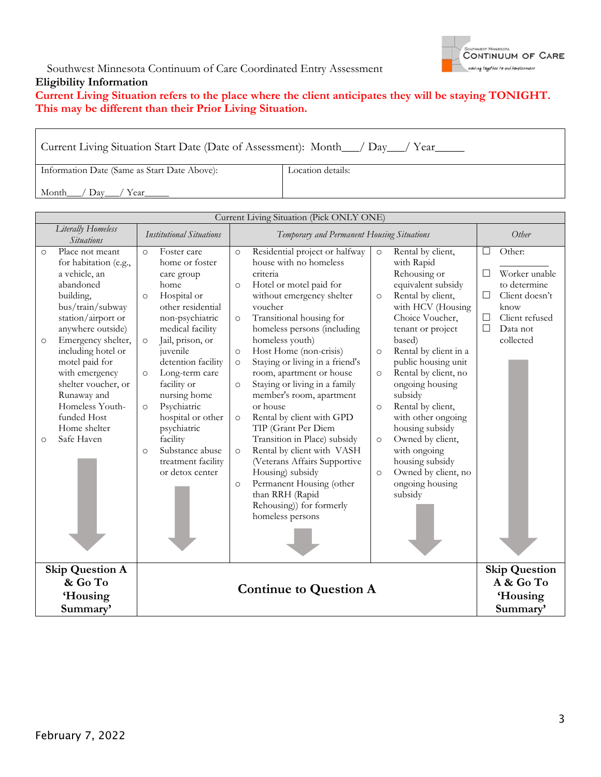

### Southwest Minnesota Continuum of Care Coordinated Entry Assessment **Eligibility Information**

## **Current Living Situation refers to the place where the client anticipates they will be staying TONIGHT. This may be different than their Prior Living Situation.**

Current Living Situation Start Date (Date of Assessment): Month\_\_\_/ Day\_\_\_/ Year\_\_\_\_\_ Information Date (Same as Start Date Above): Month\_\_\_/ Day\_\_\_/ Year\_ Location details:

|                                   | Current Living Situation (Pick ONLY ONE)                                                                                                                                                                                                                                                                                                 |                                                                 |                                                                                                                                                                                                                                                                                                                                                                  |                                                                                                 |                                                                                                                                                                                                                                                                                                                                                                                                                                                                                                                                                                                                                                                              |                                                                           |                                                                                                                                                                                                                                                                                                                                                                                                                                                   |                                 |                                                                                                              |
|-----------------------------------|------------------------------------------------------------------------------------------------------------------------------------------------------------------------------------------------------------------------------------------------------------------------------------------------------------------------------------------|-----------------------------------------------------------------|------------------------------------------------------------------------------------------------------------------------------------------------------------------------------------------------------------------------------------------------------------------------------------------------------------------------------------------------------------------|-------------------------------------------------------------------------------------------------|--------------------------------------------------------------------------------------------------------------------------------------------------------------------------------------------------------------------------------------------------------------------------------------------------------------------------------------------------------------------------------------------------------------------------------------------------------------------------------------------------------------------------------------------------------------------------------------------------------------------------------------------------------------|---------------------------------------------------------------------------|---------------------------------------------------------------------------------------------------------------------------------------------------------------------------------------------------------------------------------------------------------------------------------------------------------------------------------------------------------------------------------------------------------------------------------------------------|---------------------------------|--------------------------------------------------------------------------------------------------------------|
|                                   | Literally Homeless<br><b>Situations</b>                                                                                                                                                                                                                                                                                                  |                                                                 | <b>Institutional Situations</b>                                                                                                                                                                                                                                                                                                                                  |                                                                                                 | Temporary and Permanent Housing Situations                                                                                                                                                                                                                                                                                                                                                                                                                                                                                                                                                                                                                   |                                                                           | Other                                                                                                                                                                                                                                                                                                                                                                                                                                             |                                 |                                                                                                              |
| $\circ$<br>$\circ$<br>$\circ$     | Place not meant<br>for habitation (e.g.,<br>a vehicle, an<br>abandoned<br>building,<br>bus/train/subway<br>station/airport or<br>anywhere outside)<br>Emergency shelter,<br>including hotel or<br>motel paid for<br>with emergency<br>shelter voucher, or<br>Runaway and<br>Homeless Youth-<br>funded Host<br>Home shelter<br>Safe Haven | $\circ$<br>$\circ$<br>$\circ$<br>$\circ$<br>$\circ$<br>$\Omega$ | Foster care<br>home or foster<br>care group<br>home<br>Hospital or<br>other residential<br>non-psychiatric<br>medical facility<br>Jail, prison, or<br>juvenile<br>detention facility<br>Long-term care<br>facility or<br>nursing home<br>Psychiatric<br>hospital or other<br>psychiatric<br>facility<br>Substance abuse<br>treatment facility<br>or detox center | $\circ$<br>$\circ$<br>$\circ$<br>$\circ$<br>$\circ$<br>$\circ$<br>$\circ$<br>$\circ$<br>$\circ$ | Residential project or halfway<br>house with no homeless<br>criteria<br>Hotel or motel paid for<br>without emergency shelter<br>voucher<br>Transitional housing for<br>homeless persons (including<br>homeless youth)<br>Host Home (non-crisis)<br>Staying or living in a friend's<br>room, apartment or house<br>Staying or living in a family<br>member's room, apartment<br>or house<br>Rental by client with GPD<br>TIP (Grant Per Diem<br>Transition in Place) subsidy<br>Rental by client with VASH<br>(Veterans Affairs Supportive<br>Housing) subsidy<br>Permanent Housing (other<br>than RRH (Rapid<br>Rehousing)) for formerly<br>homeless persons | $\circ$<br>$\circ$<br>$\circ$<br>$\circ$<br>$\circ$<br>$\circ$<br>$\circ$ | Rental by client,<br>with Rapid<br>Rehousing or<br>equivalent subsidy<br>Rental by client,<br>with HCV (Housing<br>Choice Voucher,<br>tenant or project<br>based)<br>Rental by client in a<br>public housing unit<br>Rental by client, no<br>ongoing housing<br>subsidy<br>Rental by client,<br>with other ongoing<br>housing subsidy<br>Owned by client,<br>with ongoing<br>housing subsidy<br>Owned by client, no<br>ongoing housing<br>subsidy | □<br>$\Box$<br>П<br>$\Box$<br>П | Other:<br>Worker unable<br>to determine<br>Client doesn't<br>know<br>Client refused<br>Data not<br>collected |
|                                   |                                                                                                                                                                                                                                                                                                                                          |                                                                 |                                                                                                                                                                                                                                                                                                                                                                  |                                                                                                 |                                                                                                                                                                                                                                                                                                                                                                                                                                                                                                                                                                                                                                                              |                                                                           |                                                                                                                                                                                                                                                                                                                                                                                                                                                   |                                 |                                                                                                              |
| <b>Skip Question A</b><br>& Go To |                                                                                                                                                                                                                                                                                                                                          |                                                                 |                                                                                                                                                                                                                                                                                                                                                                  | <b>Continue to Question A</b>                                                                   |                                                                                                                                                                                                                                                                                                                                                                                                                                                                                                                                                                                                                                                              |                                                                           |                                                                                                                                                                                                                                                                                                                                                                                                                                                   |                                 | <b>Skip Question</b><br>A & Go To                                                                            |
|                                   | 'Housing                                                                                                                                                                                                                                                                                                                                 |                                                                 |                                                                                                                                                                                                                                                                                                                                                                  |                                                                                                 | <b>Housing</b>                                                                                                                                                                                                                                                                                                                                                                                                                                                                                                                                                                                                                                               |                                                                           |                                                                                                                                                                                                                                                                                                                                                                                                                                                   |                                 |                                                                                                              |
|                                   | Summary'                                                                                                                                                                                                                                                                                                                                 |                                                                 |                                                                                                                                                                                                                                                                                                                                                                  |                                                                                                 |                                                                                                                                                                                                                                                                                                                                                                                                                                                                                                                                                                                                                                                              |                                                                           |                                                                                                                                                                                                                                                                                                                                                                                                                                                   |                                 | Summary'                                                                                                     |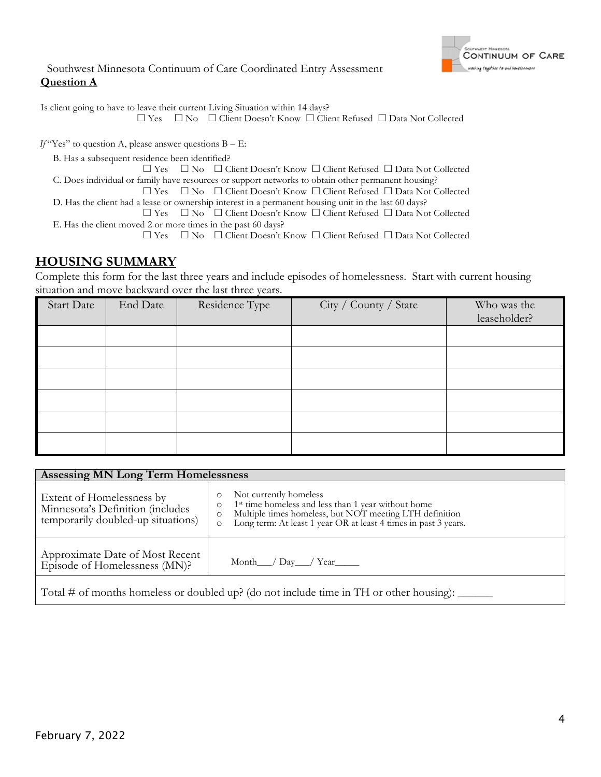

Is client going to have to leave their current Living Situation within 14 days?

Yes No Client Doesn't Know Client Refused Data Not Collected

 $If$  "Yes" to question A, please answer questions  $B - E$ :

B. Has a subsequent residence been identified?

 Yes No Client Doesn't Know Client Refused Data Not Collected C. Does individual or family have resources or support networks to obtain other permanent housing?

 Yes No Client Doesn't Know Client Refused Data Not Collected D. Has the client had a lease or ownership interest in a permanent housing unit in the last 60 days?

 Yes No Client Doesn't Know Client Refused Data Not Collected E. Has the client moved 2 or more times in the past 60 days?

Yes No Client Doesn't Know Client Refused Data Not Collected

# **HOUSING SUMMARY**

Complete this form for the last three years and include episodes of homelessness. Start with current housing situation and move backward over the last three years.

| <b>Start Date</b> | End Date | Residence Type | City / County / State | Who was the<br>leaseholder? |
|-------------------|----------|----------------|-----------------------|-----------------------------|
|                   |          |                |                       |                             |
|                   |          |                |                       |                             |
|                   |          |                |                       |                             |
|                   |          |                |                       |                             |
|                   |          |                |                       |                             |
|                   |          |                |                       |                             |

| <b>Assessing MN Long Term Homelessness</b>                                                                                                           |                                                                                                                                                                                                                                               |  |  |  |  |  |
|------------------------------------------------------------------------------------------------------------------------------------------------------|-----------------------------------------------------------------------------------------------------------------------------------------------------------------------------------------------------------------------------------------------|--|--|--|--|--|
| Extent of Homelessness by<br>Minnesota's Definition (includes<br>temporarily doubled-up situations)                                                  | Not currently homeless<br>1 <sup>st</sup> time homeless and less than 1 year without home<br>$\circ$<br>Multiple times homeless, but NOT meeting LTH definition<br>Long term: At least 1 year OR at least 4 times in past 3 years.<br>$\circ$ |  |  |  |  |  |
| Approximate Date of Most Recent<br>Episode of Homelessness (MN)?                                                                                     |                                                                                                                                                                                                                                               |  |  |  |  |  |
| Total # of months homeless or doubled up? (do not include time in TH or other housing): $\frac{1}{\sqrt{1-\frac{1}{n}}}\left  \frac{1}{n^2} \right $ |                                                                                                                                                                                                                                               |  |  |  |  |  |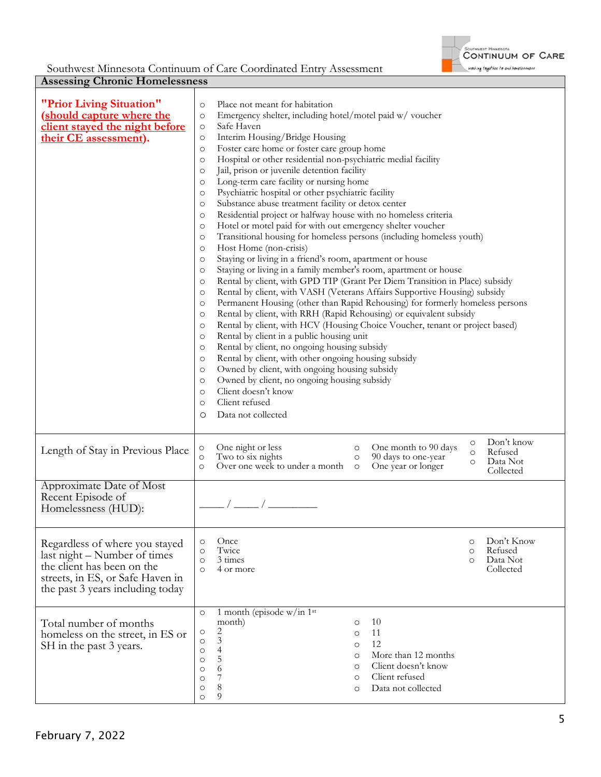

| <b>Assessing Chronic Homelessness</b>                                                                                                                                |                                                                                                                                                                                                                                                                                                                                                                                                                                                                                                                                                                                                                                                                                                                                                                                                                                                                                                                                                                                                                                                                                                                                                                                                                                                                                                                                                                                                                                                                                                                                                                                                                                                                                                                                                                                                                                                                                 |                                                                                 |  |  |  |  |  |
|----------------------------------------------------------------------------------------------------------------------------------------------------------------------|---------------------------------------------------------------------------------------------------------------------------------------------------------------------------------------------------------------------------------------------------------------------------------------------------------------------------------------------------------------------------------------------------------------------------------------------------------------------------------------------------------------------------------------------------------------------------------------------------------------------------------------------------------------------------------------------------------------------------------------------------------------------------------------------------------------------------------------------------------------------------------------------------------------------------------------------------------------------------------------------------------------------------------------------------------------------------------------------------------------------------------------------------------------------------------------------------------------------------------------------------------------------------------------------------------------------------------------------------------------------------------------------------------------------------------------------------------------------------------------------------------------------------------------------------------------------------------------------------------------------------------------------------------------------------------------------------------------------------------------------------------------------------------------------------------------------------------------------------------------------------------|---------------------------------------------------------------------------------|--|--|--|--|--|
| "Prior Living Situation"<br>(should capture where the<br>client stayed the night before<br>their CE assessment).                                                     | Place not meant for habitation<br>$\circ$<br>Emergency shelter, including hotel/motel paid w/ voucher<br>$\circ$<br>Safe Haven<br>$\circ$<br>Interim Housing/Bridge Housing<br>$\circ$<br>Foster care home or foster care group home<br>$\circ$<br>Hospital or other residential non-psychiatric medial facility<br>$\circ$<br>Jail, prison or juvenile detention facility<br>$\circ$<br>Long-term care facility or nursing home<br>$\circ$<br>Psychiatric hospital or other psychiatric facility<br>$\circ$<br>Substance abuse treatment facility or detox center<br>$\circ$<br>Residential project or halfway house with no homeless criteria<br>$\circ$<br>Hotel or motel paid for with out emergency shelter voucher<br>$\circ$<br>Transitional housing for homeless persons (including homeless youth)<br>$\circ$<br>Host Home (non-crisis)<br>$\circ$<br>Staying or living in a friend's room, apartment or house<br>$\circ$<br>Staying or living in a family member's room, apartment or house<br>$\circ$<br>Rental by client, with GPD TIP (Grant Per Diem Transition in Place) subsidy<br>$\circ$<br>Rental by client, with VASH (Veterans Affairs Supportive Housing) subsidy<br>$\circ$<br>Permanent Housing (other than Rapid Rehousing) for formerly homeless persons<br>$\circ$<br>Rental by client, with RRH (Rapid Rehousing) or equivalent subsidy<br>$\circ$<br>Rental by client, with HCV (Housing Choice Voucher, tenant or project based)<br>$\circ$<br>Rental by client in a public housing unit<br>$\circ$<br>Rental by client, no ongoing housing subsidy<br>$\circ$<br>Rental by client, with other ongoing housing subsidy<br>$\circ$<br>Owned by client, with ongoing housing subsidy<br>$\circ$<br>Owned by client, no ongoing housing subsidy<br>$\circ$<br>Client doesn't know<br>$\circ$<br>Client refused<br>$\circ$<br>Data not collected<br>O |                                                                                 |  |  |  |  |  |
| Length of Stay in Previous Place                                                                                                                                     | One night or less<br>One month to 90 days<br>$\circ$<br>$\circ$<br>Two to six nights<br>90 days to one-year<br>$\circ$<br>$\circ$<br>Over one week to under a month<br>One year or longer<br>$\circ$<br>$\circ$                                                                                                                                                                                                                                                                                                                                                                                                                                                                                                                                                                                                                                                                                                                                                                                                                                                                                                                                                                                                                                                                                                                                                                                                                                                                                                                                                                                                                                                                                                                                                                                                                                                                 | Don't know<br>$\circ$<br>Refused<br>$\circ$<br>Data Not<br>$\circ$<br>Collected |  |  |  |  |  |
| Approximate Date of Most<br>Recent Episode of<br>Homelessness (HUD):                                                                                                 |                                                                                                                                                                                                                                                                                                                                                                                                                                                                                                                                                                                                                                                                                                                                                                                                                                                                                                                                                                                                                                                                                                                                                                                                                                                                                                                                                                                                                                                                                                                                                                                                                                                                                                                                                                                                                                                                                 |                                                                                 |  |  |  |  |  |
| Regardless of where you stayed<br>last night – Number of times<br>the client has been on the<br>streets, in ES, or Safe Haven in<br>the past 3 years including today | Once<br>$\circ$<br>Twice<br>$\circ$<br>3 times<br>$\Omega$<br>4 or more<br>$\Omega$                                                                                                                                                                                                                                                                                                                                                                                                                                                                                                                                                                                                                                                                                                                                                                                                                                                                                                                                                                                                                                                                                                                                                                                                                                                                                                                                                                                                                                                                                                                                                                                                                                                                                                                                                                                             | Don't Know<br>$\circ$<br>Refused<br>$\circ$<br>Data Not<br>Collected            |  |  |  |  |  |
| Total number of months<br>homeless on the street, in ES or<br>SH in the past 3 years.                                                                                | 1 month (episode w/in 1st<br>$\circ$<br>month)<br>10<br>$\circ$<br>2<br>$\circ$<br>11<br>$\circ$<br>$\mathfrak{Z}$<br>$\circ$<br>12<br>$\circ$<br>$\overline{4}$<br>$\circ$<br>More than 12 months<br>$\circ$<br>5<br>$\circ$<br>Client doesn't know<br>$\circ$<br>6<br>$\circ$<br>Client refused<br>7<br>$\circ$<br>$\circ$<br>8<br>Data not collected<br>$\circ$<br>$\circ$<br>9<br>$\circ$                                                                                                                                                                                                                                                                                                                                                                                                                                                                                                                                                                                                                                                                                                                                                                                                                                                                                                                                                                                                                                                                                                                                                                                                                                                                                                                                                                                                                                                                                   |                                                                                 |  |  |  |  |  |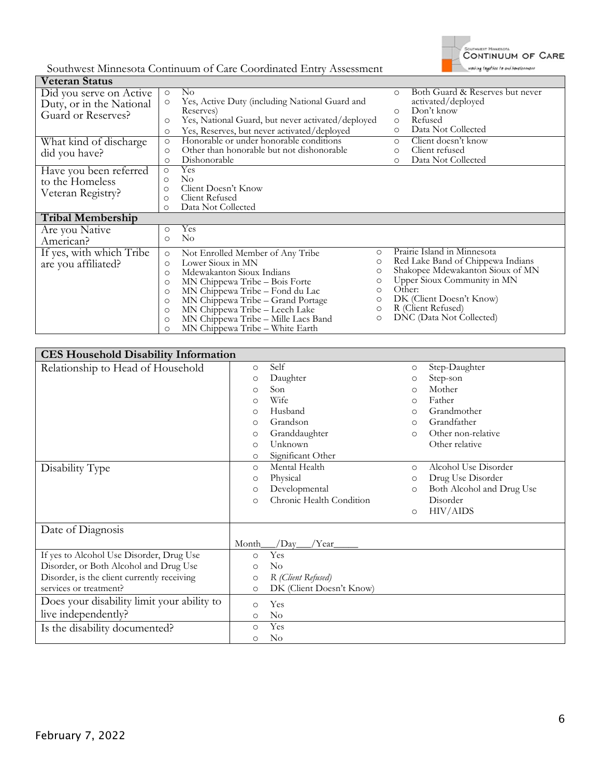

| <b>Veteran Status</b>    |         |                                                   |         |                                            |
|--------------------------|---------|---------------------------------------------------|---------|--------------------------------------------|
| Did you serve on Active  | $\circ$ | $\rm No$                                          |         | Both Guard & Reserves but never<br>$\circ$ |
| Duty, or in the National | $\circ$ | Yes, Active Duty (including National Guard and    |         | activated/deployed                         |
| Guard or Reserves?       |         | Reserves)                                         |         | Don't know<br>$\circ$                      |
|                          | $\circ$ | Yes, National Guard, but never activated/deployed |         | Refused<br>$\circ$                         |
|                          | $\circ$ | Yes, Reserves, but never activated/deployed       |         | Data Not Collected<br>$\circ$              |
| What kind of discharge   | $\circ$ | Honorable or under honorable conditions           |         | Client doesn't know<br>$\circ$             |
| did you have?            | $\circ$ | Other than honorable but not dishonorable         |         | Client refused<br>$\circ$                  |
|                          | $\circ$ | Dishonorable                                      |         | Data Not Collected<br>$\circ$              |
| Have you been referred   | $\circ$ | Yes                                               |         |                                            |
| to the Homeless          | $\circ$ | No                                                |         |                                            |
| Veteran Registry?        | $\circ$ | Client Doesn't Know                               |         |                                            |
|                          | $\circ$ | Client Refused                                    |         |                                            |
|                          | $\circ$ | Data Not Collected                                |         |                                            |
| <b>Tribal Membership</b> |         |                                                   |         |                                            |
| Are you Native           | $\circ$ | Yes                                               |         |                                            |
| American?                | $\circ$ | $\rm No$                                          |         |                                            |
| If yes, with which Tribe | $\circ$ | Not Enrolled Member of Any Tribe                  | $\circ$ | Prairie Island in Minnesota                |
| are you affiliated?      | $\circ$ | Lower Sioux in MN                                 | $\circ$ | Red Lake Band of Chippewa Indians          |
|                          | $\circ$ | Mdewakanton Sioux Indians                         | $\circ$ | Shakopee Mdewakanton Sioux of MN           |
|                          | $\circ$ | MN Chippewa Tribe - Bois Forte                    | $\circ$ | Upper Sioux Community in MN                |
|                          | $\circ$ | MN Chippewa Tribe - Fond du Lac                   | $\circ$ | Other:                                     |
|                          | $\circ$ | MN Chippewa Tribe - Grand Portage                 | $\circ$ | DK (Client Doesn't Know)                   |
|                          | $\circ$ | MN Chippewa Tribe - Leech Lake                    | $\circ$ | R (Client Refused)                         |
|                          | $\circ$ | MN Chippewa Tribe - Mille Lacs Band               | $\circ$ | DNC (Data Not Collected)                   |
|                          | $\circ$ | MN Chippewa Tribe - White Earth                   |         |                                            |

| <b>CES Household Disability Information</b> |         |                          |          |                           |
|---------------------------------------------|---------|--------------------------|----------|---------------------------|
| Relationship to Head of Household           | $\circ$ | Self                     | $\circ$  | Step-Daughter             |
|                                             | $\circ$ | Daughter                 | $\circ$  | Step-son                  |
|                                             | $\circ$ | Son                      | $\Omega$ | Mother                    |
|                                             | $\circ$ | Wife                     | $\circ$  | Father                    |
|                                             | $\circ$ | Husband                  | $\Omega$ | Grandmother               |
|                                             | $\circ$ | Grandson                 | $\circ$  | Grandfather               |
|                                             | $\circ$ | Granddaughter            | $\Omega$ | Other non-relative        |
|                                             | $\circ$ | Unknown                  |          | Other relative            |
|                                             | $\circ$ | Significant Other        |          |                           |
| Disability Type                             | $\circ$ | Mental Health            | $\circ$  | Alcohol Use Disorder      |
|                                             | $\circ$ | Physical                 | O        | Drug Use Disorder         |
|                                             | $\circ$ | Developmental            | $\circ$  | Both Alcohol and Drug Use |
|                                             | $\circ$ | Chronic Health Condition |          | Disorder                  |
|                                             |         |                          | $\circ$  | HIV/AIDS                  |
| Date of Diagnosis                           |         |                          |          |                           |
|                                             | Month   | /Day_<br>/Year_          |          |                           |
| If yes to Alcohol Use Disorder, Drug Use    | $\circ$ | Yes                      |          |                           |
| Disorder, or Both Alcohol and Drug Use      | $\circ$ | $\rm No$                 |          |                           |
| Disorder, is the client currently receiving | $\circ$ | R (Client Refused)       |          |                           |
| services or treatment?                      | $\circ$ | DK (Client Doesn't Know) |          |                           |
| Does your disability limit your ability to  | $\circ$ | Yes                      |          |                           |
| live independently?                         | $\circ$ | $\rm No$                 |          |                           |
| Is the disability documented?               | $\circ$ | Yes                      |          |                           |
|                                             | O       | $\rm No$                 |          |                           |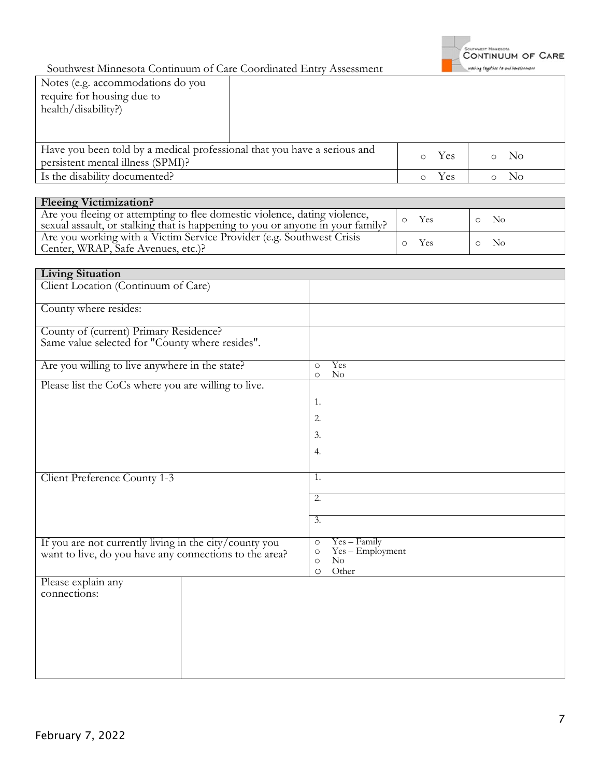

| Notes (e.g. accommodations do you                                        |  |        |     |     |
|--------------------------------------------------------------------------|--|--------|-----|-----|
| require for housing due to                                               |  |        |     |     |
| health/disability?)                                                      |  |        |     |     |
|                                                                          |  |        |     |     |
|                                                                          |  |        |     |     |
| Have you been told by a medical professional that you have a serious and |  | $\cap$ | Yes | No. |
| persistent mental illness (SPMI)?                                        |  |        |     |     |
| Is the disability documented?                                            |  | Yes    | No  |     |

| <b>Fleeing Victimization?</b>                                                                                                                               |            |            |  |  |  |  |  |
|-------------------------------------------------------------------------------------------------------------------------------------------------------------|------------|------------|--|--|--|--|--|
| Are you fleeing or attempting to flee domestic violence, dating violence,<br>sexual assault, or stalking that is happening to you or anyone in your family? | <b>Yes</b> | - No       |  |  |  |  |  |
| Are you working with a Victim Service Provider (e.g. Southwest Crisis<br>Center, WRAP, Safe Avenues, etc.)?                                                 | <b>Yes</b> | $\circ$ No |  |  |  |  |  |

| <b>Living Situation</b>                                                                                          |                                                                                                       |
|------------------------------------------------------------------------------------------------------------------|-------------------------------------------------------------------------------------------------------|
| Client Location (Continuum of Care)                                                                              |                                                                                                       |
| County where resides:                                                                                            |                                                                                                       |
| County of (current) Primary Residence?<br>Same value selected for "County where resides".                        |                                                                                                       |
| Are you willing to live anywhere in the state?                                                                   | Yes<br>$\circ$<br>$\rm No$<br>$\circ$                                                                 |
| Please list the CoCs where you are willing to live.                                                              |                                                                                                       |
|                                                                                                                  | 1.                                                                                                    |
|                                                                                                                  | 2.                                                                                                    |
|                                                                                                                  | 3.                                                                                                    |
|                                                                                                                  | 4.                                                                                                    |
| Client Preference County 1-3                                                                                     | 1.                                                                                                    |
|                                                                                                                  |                                                                                                       |
|                                                                                                                  | $\overline{2}$ .                                                                                      |
|                                                                                                                  | $\overline{3}$ .                                                                                      |
| If you are not currently living in the city/county you<br>want to live, do you have any connections to the area? | $Yes - Family$<br>$\circ$<br>$Yes - Employment$<br>$\circ$<br>$\rm No$<br>$\circ$<br>Other<br>$\circ$ |
| Please explain any<br>connections:                                                                               |                                                                                                       |
|                                                                                                                  |                                                                                                       |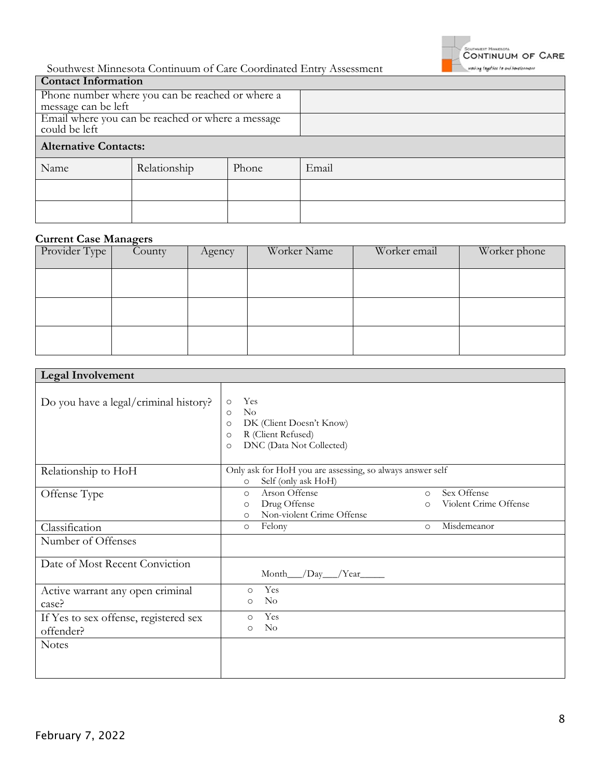

| <b>Contact Information</b>                        |                                                  |       |       |
|---------------------------------------------------|--------------------------------------------------|-------|-------|
|                                                   | Phone number where you can be reached or where a |       |       |
| message can be left                               |                                                  |       |       |
| Email where you can be reached or where a message |                                                  |       |       |
| could be left                                     |                                                  |       |       |
| <b>Alternative Contacts:</b>                      |                                                  |       |       |
| Name                                              | Relationship                                     | Phone | Email |
|                                                   |                                                  |       |       |
|                                                   |                                                  |       |       |

## **Current Case Managers**

| Provider Type | $\overline{C}$ ounty | Agency | Worker Name | Worker email | Worker phone |
|---------------|----------------------|--------|-------------|--------------|--------------|
|               |                      |        |             |              |              |
|               |                      |        |             |              |              |
|               |                      |        |             |              |              |

| <b>Legal Involvement</b>                           |                                                                                                                                                  |                        |                                      |  |
|----------------------------------------------------|--------------------------------------------------------------------------------------------------------------------------------------------------|------------------------|--------------------------------------|--|
| Do you have a legal/criminal history?              | Yes<br>$\circ$<br>No<br>$\Omega$<br>DK (Client Doesn't Know)<br>$\circ$<br>R (Client Refused)<br>$\Omega$<br>DNC (Data Not Collected)<br>$\circ$ |                        |                                      |  |
| Relationship to HoH                                | Only ask for HoH you are assessing, so always answer self<br>Self (only ask HoH)<br>$\circ$                                                      |                        |                                      |  |
| Offense Type                                       | Arson Offense<br>$\circ$<br>Drug Offense<br>$\circ$<br>Non-violent Crime Offense<br>$\Omega$                                                     | $\Omega$<br>$\bigcirc$ | Sex Offense<br>Violent Crime Offense |  |
| Classification                                     | Felony<br>$\circ$                                                                                                                                | $\circ$                | Misdemeanor                          |  |
| Number of Offenses                                 |                                                                                                                                                  |                        |                                      |  |
| Date of Most Recent Conviction                     | Month__/Day__/Year____                                                                                                                           |                        |                                      |  |
| Active warrant any open criminal<br>case?          | Yes<br>$\Omega$<br>No<br>$\Omega$                                                                                                                |                        |                                      |  |
| If Yes to sex offense, registered sex<br>offender? | Yes<br>$\circ$<br>$\rm No$<br>O                                                                                                                  |                        |                                      |  |
| <b>Notes</b>                                       |                                                                                                                                                  |                        |                                      |  |